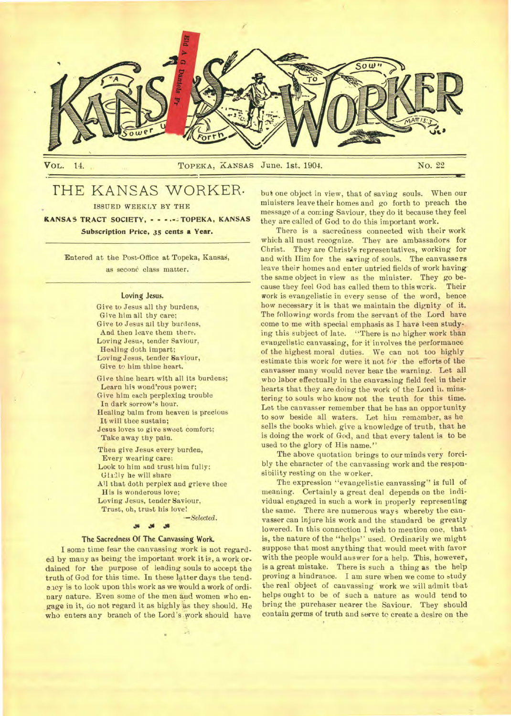

# THE KANSAS WORKER•

ISSUED WEEKLY BY THE

KANSAS TRACT SOCIETY, - - - TOPEKA, KANSAS Subscription Price, 35 cents a Year.

Entered at the Post-Office at Topeka, Kansag, as second class matter.

#### Loving Jesus.

Give to Jesus all thy burdens, Give him all thy care; Give to Jesus ail thy burdens, And then leave them there. Loving Jesus, tender Saviour, Healing doth impart; Loving Jesus, tender Saviour, Give to him thine heart. Give thine heart with all its burdens;

Learn his wond'rous power; Give him each perplexing trouble In dark sorrow's hour. Healing balm from heaven is precious It will thee sustain; Jesus loves to give sweet comfort; Take away thy pain.

Then give Jesus every burden, Every wearing care: Look to him and trust him fully: Gladly he will share All that doth perplex and grieve thee His is wonderous love; Loving Jesus, tender Saviour, Trust, oh, trust his love! *--Selected.* 

#### $\frac{36}{25}$

#### **The Sacredness Of The Canvassing Work.**

**I** some time fear the canvassing work is not regarded by many as being the important work it is, a work ordained for the purpose of leading souls to accept the truth of God for this time. In these latter days the tendancy is to look upon this work as we would a work of ordinary nature. Even some of the men and women who engage in it, do not regard it as highly as they should. He who enters any branch of the Lord's work should have

but one object in view, that of saving souls. When our ministers leave their homes and go forth to preach the message of a coming Saviour, they do it because they feel they are called of God to do this important work.

There is a sacredness connected with their work which all must recognize. They are ambassadors for Christ. They are Christ's representatives, working for and with Mm for the saving of souls. The canvassers leave their homes and enter untried fields of work having. the same object in view as the minister. They go because they feel God has called them to this work. Their work is evangelistic in every sense of the word, hence how necessary it is that we maintain the dignity of it. The following words from the servant of the Lord have come to me with special emphasis as I have been studying this subject of late. "There is no higher work than evangelistic canvassing, for it involves the performance of the highest moral duties. We can not too highly estimate this work for were it not for the efforts of the canvasser many would never hear the warning. Let all who labor effectually in the canvassing field feel in their hearts that they are doing the work of the Lord ii. minstering to souls who know not the truth for this time. Let the canvasser remember that he has an opportunity to sow beside all waters. Let him remember, as he sells the books which give a knowledge of truth, that he is doing the work of God, and that every talent is to be used to the glory of His name."

The above quotation brings to our minds very forcibly the character of the canvassing work and the responsibility resting on the worker.

The expression "evangelistic canvassing" is full of meaning. Certainly a great deal depends on the individual engaged in such a work in properly representing the same. There are numerous ways whereby the canvasser can injure his work and the standard be greatly lowered. In this connection I wish to mention one, that is, the nature of the "helps" used. Ordinarily we might suppose that most anything that would meet with favor with the people would answer for a help. This, however, is a great mistake. There is such a thing as the help proving a hindrance. I am sure when we come to study the real object of canvassing work we will admit that helps ought to be of such a nature as would tend to bring the purchaser nearer the Saviour. They should contain germs of truth and serve to create a desire on the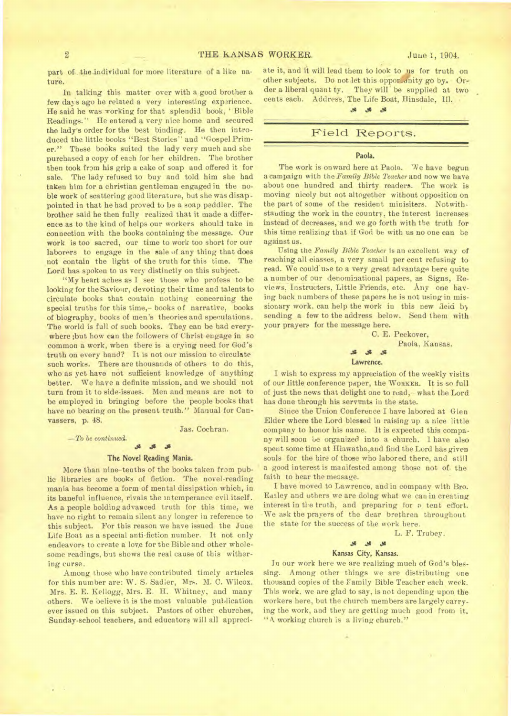part of the individual for more literature of a like nature.

In talking this matter over with a good brother a few days ago he related a very interesting experience. He said he was vorking for that splendid book, 'Bible Readings." He entered **a** very nice home and secured the lady's order for the best binding. He then introduced the little books "Best Stories" and "Gospel Primer." These books suited the lady very much and she purchased a copy of each for her children. The brother then took from his grip a cake of soap and offered it for sale. The lady refused to buy and told him she bad taken him for a christian gentleman engaged in the noble work of scattering good literature, but she was disappointed in that he had proved to be a soap peddler. The brother said he then fully realized that it made a difference as to the kind of helps our workers should take in connection with the books containing the message. Our work is too sacred, our time to work too short for our laborers to engage in the sale of any thing that does not contain the light of the truth for this time. The Lord has spoken to us very distinctly on this subject.

"My heart aches as I see those who profess to be looking for the Saviour, devoting their time and talents to circulate books that contain nothing concerning the special truths for this time,- books of narrative, books of biography, books of men's theories and speculations. The world is full of such books. They can be had everywhere ;but how can the followers of Christ engage in so common a work, when there is a crying need for God's truth on every band? It is not our mission to circulate such works. There are thousands of others to do this, who as yet have not sufficient knowledge of anything better. We have a definite mission, and we should not turn from it to side-issues. Men and means are not to be employed in bringing before the people books that have no bearing on the present truth." Manual for Canvassers, p. 48.

*—To be continued.* 

×

Jas. Cochran.

#### **.35**

#### **The Novel Reading** Mania.

More than nine-tenths of the books taken from public libraries are books of fiction. The novel-reading mania has become a form of mental dissipation which, in its baneful influence, rivals the intemperance evil itself. As a people holding advanced truth for this time, we have no right to remain silent any longer in reference to this subject. For this reason we have issued the June Life Boat as a special anti-fiction number. It not only endeavors to create a love for the Bible and other wholesome readings, but shows the real cause of this withering curse.

Among those who have contributed timely articles for this number are: W. S. Sadler, Mrs. M. C. Wilcox, Mrs. E. E. Kellogg, Mrs. E. H. Whitney, and many others. We oelieve it is the most valuable publication ever issued on this subject. Pastors of other churches, Sunday-school teachers, and educators will all appreciate it, and it will lead them to look to us for truth on other subjects. Do not let this oppor unity go by. Or**der** a liberal quant ty. They will be supplied at two cents each. Address, The Life Boat, Hinsdale, Ill.

#### \* \* \*

### Field Reports.

#### **Paola.**

**The work is onward here at Paola. "Ne have begun**  a campaign with **the** *Family Bible Teacher* **and now** we have about one hundred and thirty readers. The work is moving nicely but not altogether without opposition on the part of some of the resident minisiters. Notwithstanding **the work in** the country, the interest increases instead of decreases, and we go forth with tbe truth for this time realizing that if God be with us no one can **be against** us.

Using **the** *Family Bible Teacher is* an excellent way of reaching all classes, a very small per cent refusing to read. We could use to a very great advantage here quite a number of our denominational papers, as Signs, Reviews, Instructers, Little Friends, etc. Any one having back numbers of these papers he is not using in missionary work, can help the work in this new field by sending a few to the address below. Send them with your prayers for the message here.

> C. E. Peckover, Paola, Kansas. **.11 ..111 Lawrence.**

I wish to express my **appreciation of the weekly visits of our little conference paper, the WORKER. It is** so full of just the news that delight one to read,- what the Lord has done through his servents in the state.

Since the Union Conference I have labored at Glen Elder where the Lord blessed in raising up a nice little company to honor his name. It is expected this company will soon be organized into a church. 1 have also spent some time at Hiawatha,and find the Lord has given souls for the hire of those who labored there, and still a good interest is manifested among those not of. the faith to hear the message.

I have moved to Lawrence, and in company with Bro. Easley and others we are doing what we can in creating interest in tie truth, and preparing for o tent effort. We ask the prayers of the dear brethren throughout the state for the success of the work here.

L. F. Trubev.

#### **A A**

### **Kansas City, Kansas.**

In our work here we are realizing much of God's blessing. Among other things we are distributing **one**  thousand copies of the Family Bible Teacher each week. This work, we are glad to say, is not depending upon the workers here, but the church members are largely carrying the work, and they are getting much good from it. "A working church is a living church."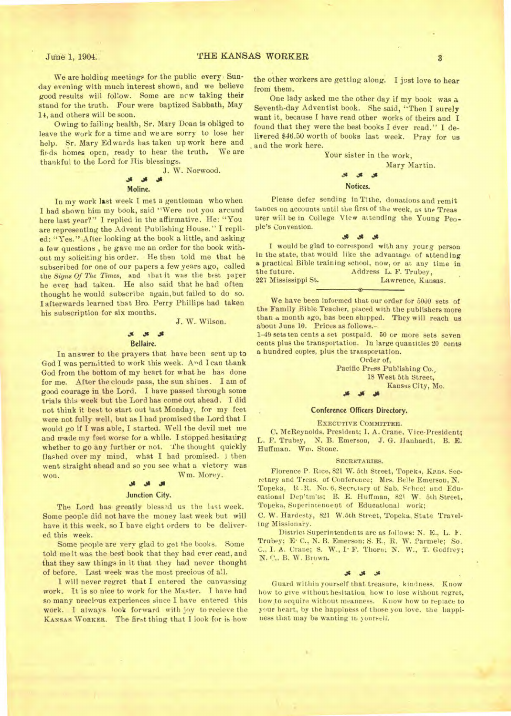We are holding meetings for the public every. Sunday evening with much interest shown, and we believe good results will follow. Some are now taking their stand for the truth. Four were baptized Sabbath, May 14, and others will be soon.

Owing to failing health, Sr. Mary Doan is obliged to leave the work for a time and we are sorry to lose her help. Sr. Mary Edwards has taken up work here and finds homes open, ready to hear the truth. We are thankful to the Lord for His blessings.

> .as **Moline.**

J. W. Norwood.

In my work last week I met a gentleman who when I had shown him my book, said "Were not you arcund here last year?" I replied in the affirmative. He: "You are representing the Advent Publishing House." I replied: "Yes." After looking at the book a little, and asking a few questions , he gave me an order for the book without my soliciting his order. He then told me that he subscribed for one of our papers a few years ago, called the *Signs Of The Times,* and that it was the best parer be ever had taken. He also said that he had often thought he would subscribe again,but failed to do so. I afterwards learned that Bro. Perry Phillips had taken his subscription for six months.

#### J. W. Wilson.

#### **.3( .11 J1**  Bellaire.

In answer to the prayers that have been sent up to God I was permitted to work this week. And I can thank God from the bottom of my heart for what he has done for me. After the clouds pass, the sun shines. I am of good courage in the Lord. I have passed through some trials this week but the Lord has come out ahead. I did not think it best to start out last Monday, for my feet were not fully well, but as I had promised the Lord that I would go if I was able, I started. Well the devil met me and made my feet worse for a while. I stopped.hesitatirg whether to go any further or not. The thought quickly flashed over my mind, what I had promised. I then went straight ahead and so you see what a victory was won. *W* m. Morey.

#### $\mathbf{A}$ **.11**

#### Junction City.

The Lord has greatly blessed us the last week. Some people did not have the money last week but will have it this week, so I have eight orders to be delivered this week.

Some people are very glad to get the books. Some told me it was the best book that they had ever read, and that they saw things in it that they had never thought of before. Last week was the most precious of all.

I will never regret that I entered the canvassing work. It is so nice to work for the Master. I have had so many precious experiences since I have entered this work. I always look forward with joy to recieve the **KANSAS WORKER.** The first thing that I look for **is** how

the other workers are getting along. I just love to hear froni them.

One lady asked me the other day if my book was a Seventh-day Adventist book. She said, "Then I surely want it, because I have read other works of theirs and I found that they were the best books I ever read." I delivered \$46.50 worth of books last week. Pray for us and the work here.

Your sister in the work,

Mary Martin.

### Notices.

Please defer sending in Tithe, donations and remit tances on accounts until the first of the week, as the Treas urer will be in College View attending the Young People's Convention.

#### $\mathcal{R}$  $\mathcal{M}$  $\mathcal{S}$

I would be glad to correspond with any young person in the state, that would like the advantage of attending a practical Bible training school, now, or at any time in the future. Address L. F. Trubey,<br>
227 Mississippi St. Lawrence, Kan Lawrence, Kansas.

We have been informed that our order for 5000 sets of the Family Bible Teacher, placed with the publishers more than a month ago, has been shipped. They will reach us about June 10. Prices as follows.-

1-19 sets ten cents a set postpaid. 60 or more sets seven cents plus the transportation. In large quantities 20 **cents**  a hundred copies, plus the transportation.

#### Order of,

Pacific Press Publishing Co., 18 West 5th Street, Kansas City, Mo. • • .11Js

#### Conference Officers Directory.

**EXECUTIVE COMMITTEE.** 

C. McReynolds, President; I. A. Crane, Vice•President; L. F. Trubey, *N.* B. Emerson, J. G. Hanhardt, B. E. Huffman. Wm. Stone.

#### **SECRETARIES.**

Florence P. Rice, 821 W. 5th Street, Topeka, Kans. Secretary and Treas. of Conference; Mrs. Belle Emerson, N. Topeka, R.R. No. 6, Secretary of Sab. School and Educational Dep'tm'ts; B. E. Huffman, 821 W. 5th Street, Topeka, Superintenoent of Educational work;

C. W. Hardesty, 821 W.Sth Street, Topeka, State Traveling Missionary.

District Superintendents are as follows: N. E., L. F. Trubey; E• C., N. B. Emerson; S. E., R. W. Parmele; So. C.. I. A. Crane; S. W., I<sup>.</sup> F. Thorn; N. W., T. Godfrey; N. C., B. W. Brown.

#### **411**

Guard within yourself that treasure, kindness. Know how to give without hesitation how to lose without regret, how to acquire without meanness. Know how to replace to your heart, by the happiness of those you love. the happiness that may be wanting in yourself.